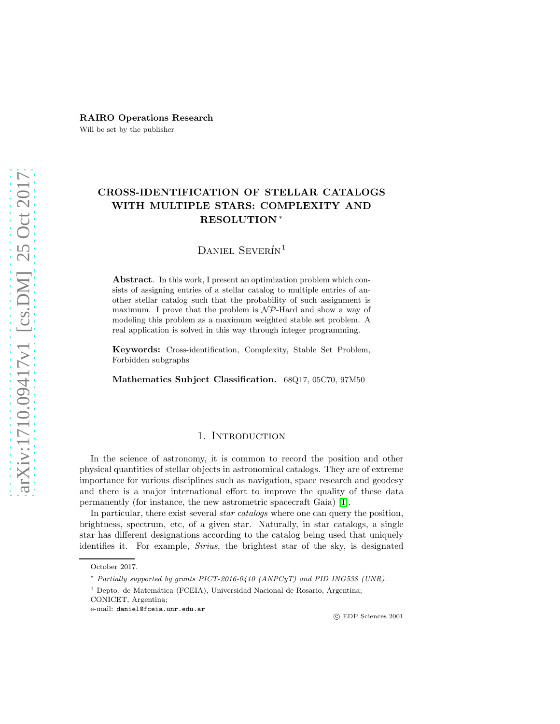## RAIRO Operations Research

Will be set by the publisher

# CROSS-IDENTIFICATION OF STELLAR CATALOGS WITH MULTIPLE STARS: COMPLEXITY AND RESOLUTION <sup>∗</sup>

## DANIEL SEVERÍN<sup>1</sup>

Abstract. In this work, I present an optimization problem which consists of assigning entries of a stellar catalog to multiple entries of another stellar catalog such that the probability of such assignment is maximum. I prove that the problem is  $\mathcal{NP}$ -Hard and show a way of modeling this problem as a maximum weighted stable set problem. A real application is solved in this way through integer programming.

Keywords: Cross-identification, Complexity, Stable Set Problem, Forbidden subgraphs

Mathematics Subject Classification. 68Q17, 05C70, 97M50

## 1. INTRODUCTION

In the science of astronomy, it is common to record the position and other physical quantities of stellar objects in astronomical catalogs. They are of extreme importance for various disciplines such as navigation, space research and geodesy and there is a major international effort to improve the quality of these data permanently (for instance, the new astrometric spacecraft Gaia) [\[1\]](#page-16-0).

In particular, there exist several *star catalogs* where one can query the position, brightness, spectrum, etc, of a given star. Naturally, in star catalogs, a single star has different designations according to the catalog being used that uniquely identifies it. For example, Sirius, the brightest star of the sky, is designated

October 2017.

<sup>∗</sup> *Partially supported by grants PICT-2016-0410 (ANPCyT) and PID ING538 (UNR).*

 $<sup>1</sup>$  Depto. de Matemática (FCEIA), Universidad Nacional de Rosario, Argentina;</sup>

CONICET, Argentina;

e-mail: daniel@fceia.unr.edu.ar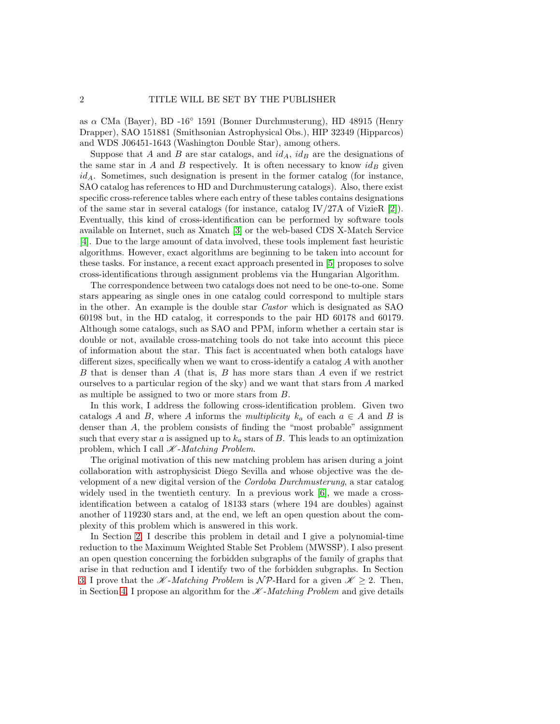as  $\alpha$  CMa (Bayer), BD -16<sup>°</sup> 1591 (Bonner Durchmusterung), HD 48915 (Henry Drapper), SAO 151881 (Smithsonian Astrophysical Obs.), HIP 32349 (Hipparcos) and WDS J06451-1643 (Washington Double Star), among others.

Suppose that A and B are star catalogs, and  $id_A$ ,  $id_B$  are the designations of the same star in  $A$  and  $B$  respectively. It is often necessary to know  $id_B$  given  $id_A$ . Sometimes, such designation is present in the former catalog (for instance, SAO catalog has references to HD and Durchmusterung catalogs). Also, there exist specific cross-reference tables where each entry of these tables contains designations of the same star in several catalogs (for instance, catalog IV/27A of VizieR  $[2]$ ). Eventually, this kind of cross-identification can be performed by software tools available on Internet, such as Xmatch [\[3\]](#page-16-2) or the web-based CDS X-Match Service [\[4\]](#page-16-3). Due to the large amount of data involved, these tools implement fast heuristic algorithms. However, exact algorithms are beginning to be taken into account for these tasks. For instance, a recent exact approach presented in [\[5\]](#page-16-4) proposes to solve cross-identifications through assignment problems via the Hungarian Algorithm.

The correspondence between two catalogs does not need to be one-to-one. Some stars appearing as single ones in one catalog could correspond to multiple stars in the other. An example is the double star Castor which is designated as SAO 60198 but, in the HD catalog, it corresponds to the pair HD 60178 and 60179. Although some catalogs, such as SAO and PPM, inform whether a certain star is double or not, available cross-matching tools do not take into account this piece of information about the star. This fact is accentuated when both catalogs have different sizes, specifically when we want to cross-identify a catalog A with another B that is denser than  $A$  (that is,  $B$  has more stars than  $A$  even if we restrict ourselves to a particular region of the sky) and we want that stars from A marked as multiple be assigned to two or more stars from B.

In this work, I address the following cross-identification problem. Given two catalogs A and B, where A informs the multiplicity  $k_a$  of each  $a \in A$  and B is denser than A, the problem consists of finding the "most probable" assignment such that every star a is assigned up to  $k_a$  stars of B. This leads to an optimization problem, which I call  $K$ -Matching Problem.

The original motivation of this new matching problem has arisen during a joint collaboration with astrophysicist Diego Sevilla and whose objective was the development of a new digital version of the Cordoba Durchmusterung, a star catalog widely used in the twentieth century. In a previous work [\[6\]](#page-16-5), we made a crossidentification between a catalog of 18133 stars (where 194 are doubles) against another of 119230 stars and, at the end, we left an open question about the complexity of this problem which is answered in this work.

In Section [2,](#page-2-0) I describe this problem in detail and I give a polynomial-time reduction to the Maximum Weighted Stable Set Problem (MWSSP). I also present an open question concerning the forbidden subgraphs of the family of graphs that arise in that reduction and I identify two of the forbidden subgraphs. In Section [3,](#page-6-0) I prove that the  $\mathscr{K}\text{-}Matching Problem$  is  $\mathscr{N}\mathcal{P}\text{-}{\text{Hard for a given }}\mathscr{K}\geq 2$ . Then, in Section [4,](#page-9-0) I propose an algorithm for the  $\mathscr{K}\text{-}Matching$  Problem and give details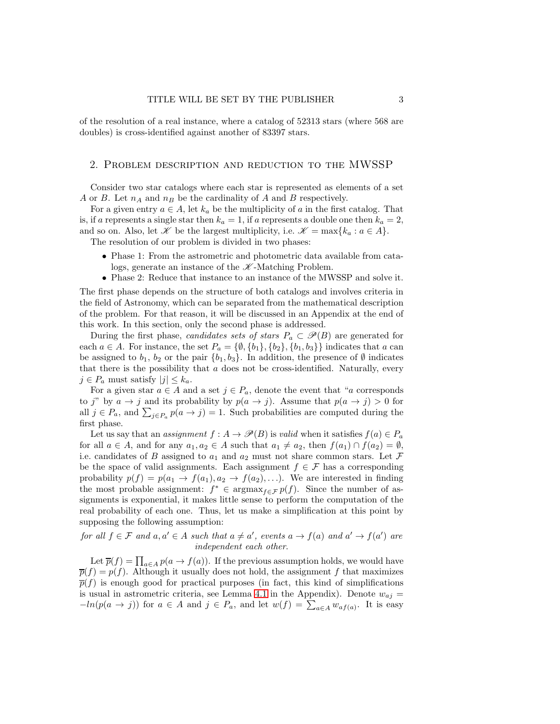of the resolution of a real instance, where a catalog of 52313 stars (where 568 are doubles) is cross-identified against another of 83397 stars.

## <span id="page-2-0"></span>2. Problem description and reduction to the MWSSP

Consider two star catalogs where each star is represented as elements of a set A or B. Let  $n_A$  and  $n_B$  be the cardinality of A and B respectively.

For a given entry  $a \in A$ , let  $k_a$  be the multiplicity of a in the first catalog. That is, if a represents a single star then  $k_a = 1$ , if a represents a double one then  $k_a = 2$ , and so on. Also, let  $\mathscr K$  be the largest multiplicity, i.e.  $\mathscr K = \max\{k_a : a \in A\}.$ 

The resolution of our problem is divided in two phases:

- Phase 1: From the astrometric and photometric data available from catalogs, generate an instance of the  $K$ -Matching Problem.
- Phase 2: Reduce that instance to an instance of the MWSSP and solve it.

The first phase depends on the structure of both catalogs and involves criteria in the field of Astronomy, which can be separated from the mathematical description of the problem. For that reason, it will be discussed in an Appendix at the end of this work. In this section, only the second phase is addressed.

During the first phase, candidates sets of stars  $P_a \subset \mathcal{P}(B)$  are generated for each  $a \in A$ . For instance, the set  $P_a = \{\emptyset, \{b_1\}, \{b_2\}, \{b_1, b_3\}\}\$  indicates that a can be assigned to  $b_1$ ,  $b_2$  or the pair  $\{b_1, b_3\}$ . In addition, the presence of  $\emptyset$  indicates that there is the possibility that  $a$  does not be cross-identified. Naturally, every  $j \in P_a$  must satisfy  $|j| \leq k_a$ .

For a given star  $a \in A$  and a set  $j \in P_a$ , denote the event that "a corresponds" to j" by  $a \to j$  and its probability by  $p(a \to j)$ . Assume that  $p(a \to j) > 0$  for all  $j \in P_a$ , and  $\sum_{j \in P_a} p(a \to j) = 1$ . Such probabilities are computed during the first phase.

Let us say that an assignment  $f : A \to \mathscr{P}(B)$  is valid when it satisfies  $f(a) \in P_a$ for all  $a \in A$ , and for any  $a_1, a_2 \in A$  such that  $a_1 \neq a_2$ , then  $f(a_1) \cap f(a_2) = \emptyset$ , i.e. candidates of B assigned to  $a_1$  and  $a_2$  must not share common stars. Let F be the space of valid assignments. Each assignment  $f \in \mathcal{F}$  has a corresponding probability  $p(f) = p(a_1 \rightarrow f(a_1), a_2 \rightarrow f(a_2), \ldots)$ . We are interested in finding the most probable assignment:  $f^* \in \text{argmax}_{f \in \mathcal{F}} p(f)$ . Since the number of assignments is exponential, it makes little sense to perform the computation of the real probability of each one. Thus, let us make a simplification at this point by supposing the following assumption:

for all  $f \in \mathcal{F}$  and  $a, a' \in A$  such that  $a \neq a'$ , events  $a \to f(a)$  and  $a' \to f(a')$  are independent each other.

Let  $\overline{p}(f) = \prod_{a \in A} p(a \to f(a))$ . If the previous assumption holds, we would have  $\overline{p}(f) = p(f)$ . Although it usually does not hold, the assignment f that maximizes  $\overline{p}(f)$  is enough good for practical purposes (in fact, this kind of simplifications is usual in astrometric criteria, see Lemma [4.1](#page-13-0) in the Appendix). Denote  $w_{aj} =$  $-\ln(p(a \to j))$  for  $a \in A$  and  $j \in P_a$ , and let  $w(f) = \sum_{a \in A} w_{af(a)}$ . It is easy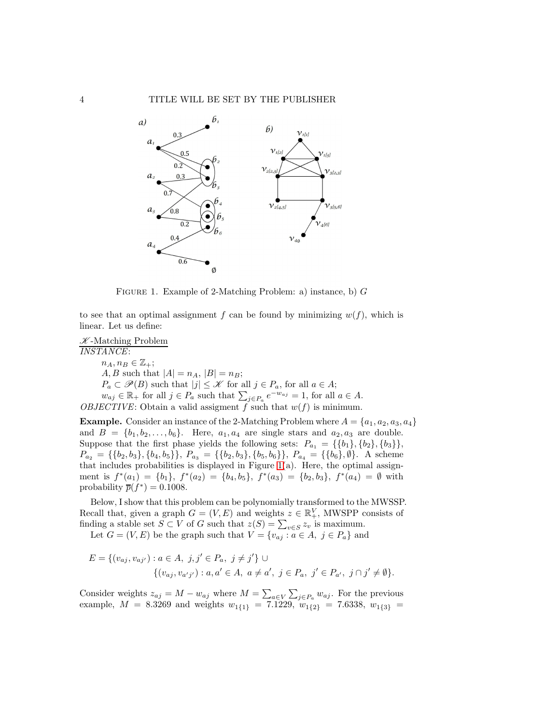

<span id="page-3-0"></span>FIGURE 1. Example of 2-Matching Problem: a) instance, b)  $G$ 

to see that an optimal assignment f can be found by minimizing  $w(f)$ , which is linear. Let us define:

 $K$ -Matching Problem INSTANCE:  $n_A, n_B \in \mathbb{Z}_+$ ; *A*, *B* such that  $|A| = n_A$ ,  $|B| = n_B$ ;  $P_a \subset \mathscr{P}(B)$  such that  $|j| \leq \mathscr{K}$  for all  $j \in P_a$ , for all  $a \in A$ ;  $w_{aj} \in \mathbb{R}_+$  for all  $j \in P_a$  such that  $\sum_{j \in P_a} e^{-w_{aj}} = 1$ , for all  $a \in A$ . OBJECTIVE: Obtain a valid assigment f such that  $w(f)$  is minimum.

**Example.** Consider an instance of the 2-Matching Problem where  $A = \{a_1, a_2, a_3, a_4\}$ and  $B = \{b_1, b_2, \ldots, b_6\}$ . Here,  $a_1, a_4$  are single stars and  $a_2, a_3$  are double. Suppose that the first phase yields the following sets:  $P_{a_1} = \{\{b_1\}, \{b_2\}, \{b_3\}\}\,$  $P_{a_2} = \{\{b_2, b_3\}, \{b_4, b_5\}\}, P_{a_3} = \{\{b_2, b_3\}, \{b_5, b_6\}\}, P_{a_4} = \{\{b_6\}, \emptyset\}.$  A scheme that includes probabilities is displayed in Figure [1\(](#page-3-0)a). Here, the optimal assignment is  $f^*(a_1) = \{b_1\}, f^*(a_2) = \{b_4, b_5\}, f^*(a_3) = \{b_2, b_3\}, f^*(a_4) = \emptyset$  with probability  $\overline{p}(f^*) = 0.1008$ .

Below, I show that this problem can be polynomially transformed to the MWSSP. Recall that, given a graph  $G = (V, E)$  and weights  $z \in \mathbb{R}^V_+$ , MWSPP consists of finding a stable set  $S \subset V$  of G such that  $z(S) = \sum_{v \in S} z_v$  is maximum.

Let  $G = (V, E)$  be the graph such that  $V = \{v_{aj} : a \in A, j \in P_a\}$  and

$$
E = \{(v_{aj}, v_{aj'}) : a \in A, j, j' \in P_a, j \neq j'\} \cup
$$
  

$$
\{(v_{aj}, v_{a'j'}) : a, a' \in A, a \neq a', j \in P_a, j' \in P_{a'}, j \cap j' \neq \emptyset\}.
$$

Consider weights  $z_{aj} = M - w_{aj}$  where  $M = \sum_{a \in V} \sum_{j \in P_a} w_{aj}$ . For the previous example,  $M = 8.3269$  and weights  $w_{1{1}} = 7.1229, w_{1{2}} = 7.6338, w_{1{3}} =$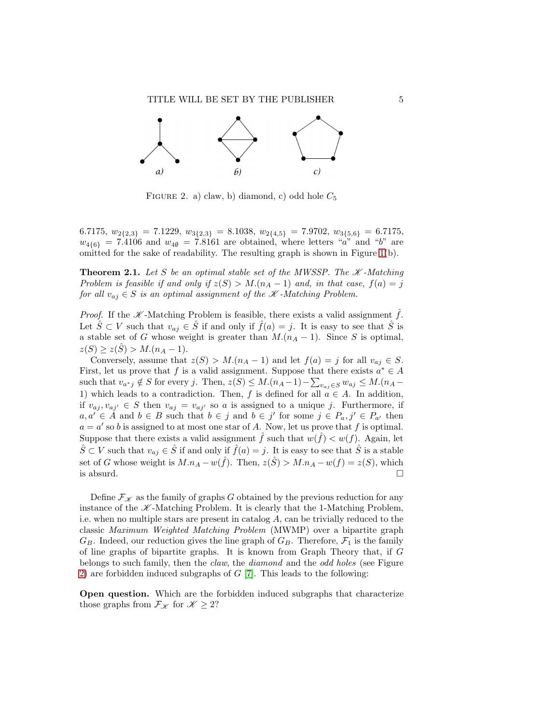

<span id="page-4-0"></span>FIGURE 2. a) claw, b) diamond, c) odd hole  $C_5$ 

6.7175,  $w_{2{2,3}} = 7.1229, w_{3{2,3}} = 8.1038, w_{2{4,5}} = 7.9702, w_{3{5,6}} = 6.7175,$  $w_{46}$  = 7.4106 and  $w_{40}$  = 7.8161 are obtained, where letters "a" and "b" are omitted for the sake of readability. The resulting graph is shown in Figure [1\(](#page-3-0)b).

<span id="page-4-1"></span>**Theorem 2.1.** Let S be an optimal stable set of the MWSSP. The  $K$ -Matching Problem is feasible if and only if  $z(S) > M.(n_A - 1)$  and, in that case,  $f(a) = j$ for all  $v_{aj} \in S$  is an optimal assignment of the  $K$ -Matching Problem.

*Proof.* If the  $\mathscr K$ -Matching Problem is feasible, there exists a valid assignment f. Let  $\hat{S} \subset V$  such that  $v_{aj} \in \hat{S}$  if and only if  $\hat{f}(a) = j$ . It is easy to see that  $\hat{S}$  is a stable set of G whose weight is greater than  $M.(n_A - 1)$ . Since S is optimal,  $z(S) \geq z(\hat{S}) > M.(n_A - 1).$ 

Conversely, assume that  $z(S) > M.(n_A - 1)$  and let  $f(a) = j$  for all  $v_{aj} \in S$ . First, let us prove that f is a valid assignment. Suppose that there exists  $a^* \in A$ such that  $v_{a^*j} \notin S$  for every j. Then,  $z(S) \leq M.(n_A-1) - \sum_{v_{aj} \in S} w_{aj} \leq M.(n_A-1)$ 1) which leads to a contradiction. Then, f is defined for all  $a \in A$ . In addition, if  $v_{aj}, v_{aj'} \in S$  then  $v_{aj} = v_{aj'}$  so a is assigned to a unique j. Furthermore, if  $a, a' \in A$  and  $b \in B$  such that  $b \in j$  and  $b \in j'$  for some  $j \in P_a, j' \in P_{a'}$  then  $a = a'$  so b is assigned to at most one star of A. Now, let us prove that f is optimal. Suppose that there exists a valid assignment  $\hat{f}$  such that  $w(\hat{f}) < w(f)$ . Again, let  $\hat{S} \subset V$  such that  $v_{aj} \in \hat{S}$  if and only if  $\hat{f}(a) = j$ . It is easy to see that  $\hat{S}$  is a stable set of G whose weight is  $M.n_A - w(\hat{f})$ . Then,  $z(\hat{S}) > M.n_A - w(f) = z(S)$ , which is absurd.  $\square$ 

Define  $\mathcal{F}_{\mathcal{K}}$  as the family of graphs G obtained by the previous reduction for any instance of the  $K$ -Matching Problem. It is clearly that the 1-Matching Problem, i.e. when no multiple stars are present in catalog  $A$ , can be trivially reduced to the classic Maximum Weighted Matching Problem (MWMP) over a bipartite graph  $G_B$ . Indeed, our reduction gives the line graph of  $G_B$ . Therefore,  $\mathcal{F}_1$  is the family of line graphs of bipartite graphs. It is known from Graph Theory that, if G belongs to such family, then the *claw*, the *diamond* and the *odd holes* (see Figure [2\)](#page-4-0) are forbidden induced subgraphs of  $G$  [\[7\]](#page-16-6). This leads to the following:

Open question. Which are the forbidden induced subgraphs that characterize those graphs from  $\mathcal{F}_{\mathcal{K}}$  for  $\mathcal{K} \geq 2$ ?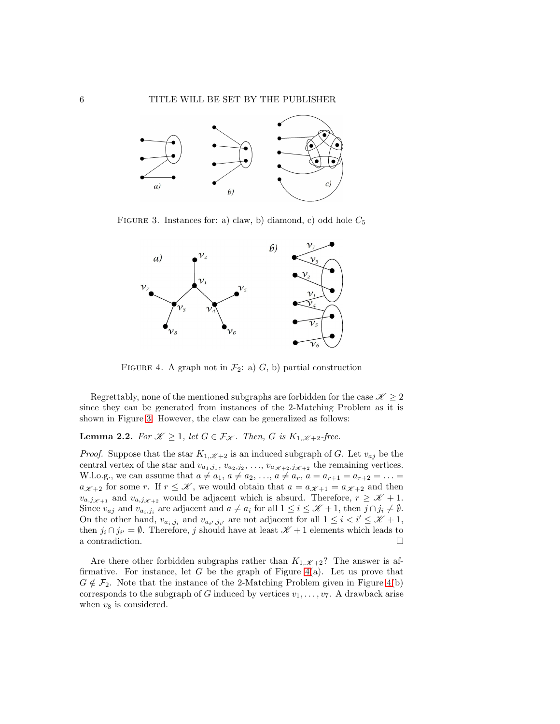

FIGURE 3. Instances for: a) claw, b) diamond, c) odd hole  $C_5$ 

<span id="page-5-0"></span>

<span id="page-5-1"></span>FIGURE 4. A graph not in  $\mathcal{F}_2$ : a) G, b) partial construction

Regrettably, none of the mentioned subgraphs are forbidden for the case  $\mathcal{K} \geq 2$ since they can be generated from instances of the 2-Matching Problem as it is shown in Figure [3.](#page-5-0) However, the claw can be generalized as follows:

## <span id="page-5-2"></span>**Lemma 2.2.** For  $\mathscr{K} \geq 1$ , let  $G \in \mathcal{F}_{\mathscr{K}}$ . Then, G is  $K_{1,\mathscr{K}+2}$ -free.

*Proof.* Suppose that the star  $K_{1,\mathscr{K}+2}$  is an induced subgraph of G. Let  $v_{aj}$  be the central vertex of the star and  $v_{a_1,j_1}, v_{a_2,j_2}, \ldots, v_{a_{\mathcal{K}+2},j_{\mathcal{K}+2}}$  the remaining vertices. W.l.o.g., we can assume that  $a \neq a_1, a \neq a_2, ..., a \neq a_r, a = a_{r+1} = a_{r+2} = ...$  $a_{\mathscr{K}+2}$  for some r. If  $r \leq \mathscr{K}$ , we would obtain that  $a = a_{\mathscr{K}+1} = a_{\mathscr{K}+2}$  and then  $v_{a,j_{\mathscr{K}+1}}$  and  $v_{a,j_{\mathscr{K}+2}}$  would be adjacent which is absurd. Therefore,  $r \geq \mathscr{K}+1$ . Since  $v_{aj}$  and  $v_{a_i,j_i}$  are adjacent and  $a \neq a_i$  for all  $1 \leq i \leq \mathcal{K}+1$ , then  $j \cap j_i \neq \emptyset$ . On the other hand,  $v_{a_i,j_i}$  and  $v_{a_{i'},j_{i'}}$  are not adjacent for all  $1 \leq i < i' \leq \mathcal{K} + 1$ , then  $j_i \cap j_{i'} = \emptyset$ . Therefore, j should have at least  $\mathcal{K} + 1$  elements which leads to a contradiction.  $\hfill \square$ 

Are there other forbidden subgraphs rather than  $K_{1,\mathscr{K}+2}$ ? The answer is affirmative. For instance, let G be the graph of Figure  $4(a)$ . Let us prove that  $G \notin \mathcal{F}_2$ . Note that the instance of the 2-Matching Problem given in Figure [4\(](#page-5-1)b) corresponds to the subgraph of G induced by vertices  $v_1, \ldots, v_7$ . A drawback arise when  $v_8$  is considered.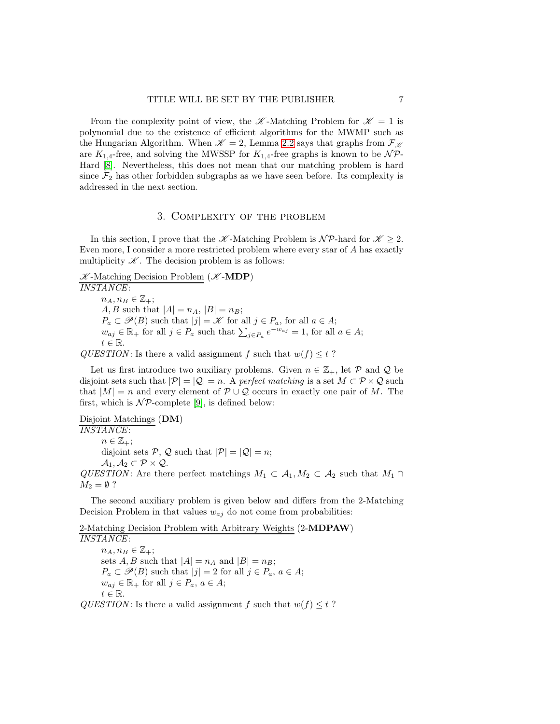From the complexity point of view, the  $\mathscr{K}$ -Matching Problem for  $\mathscr{K}=1$  is polynomial due to the existence of efficient algorithms for the MWMP such as the Hungarian Algorithm. When  $\mathcal{K} = 2$ , Lemma [2.2](#page-5-2) says that graphs from  $\mathcal{F}_{\mathcal{K}}$ are  $K_{1,4}$ -free, and solving the MWSSP for  $K_{1,4}$ -free graphs is known to be  $\mathcal{NP}$ -Hard [\[8\]](#page-16-7). Nevertheless, this does not mean that our matching problem is hard since  $\mathcal{F}_2$  has other forbidden subgraphs as we have seen before. Its complexity is addressed in the next section.

## 3. Complexity of the problem

<span id="page-6-0"></span>In this section, I prove that the  $\mathscr K$ -Matching Problem is  $\mathscr N\mathcal P$ -hard for  $\mathscr K\geq 2$ . Even more, I consider a more restricted problem where every star of A has exactly multiplicity  $K$ . The decision problem is as follows:

 $K$ -Matching Decision Problem ( $K$ -MDP)

INSTANCE:  $n_A, n_B \in \mathbb{Z}_+$ ;  $A, B$  such that  $|A| = n_A$ ,  $|B| = n_B$ ;  $P_a \subset \mathscr{P}(B)$  such that  $|j| = \mathscr{K}$  for all  $j \in P_a$ , for all  $a \in A$ ;  $w_{aj} \in \mathbb{R}_+$  for all  $j \in P_a$  such that  $\sum_{j \in P_a} e^{-w_{aj}} = 1$ , for all  $a \in A$ ;  $t \in \mathbb{R}$ .

QUESTION: Is there a valid assignment f such that  $w(f) \leq t$ ?

Let us first introduce two auxiliary problems. Given  $n \in \mathbb{Z}_+$ , let P and Q be disjoint sets such that  $|\mathcal{P}| = |\mathcal{Q}| = n$ . A perfect matching is a set  $M \subset \mathcal{P} \times \mathcal{Q}$  such that  $|M| = n$  and every element of  $P \cup Q$  occurs in exactly one pair of M. The first, which is  $\mathcal{NP}$ -complete [\[9\]](#page-16-8), is defined below:

Disjoint Matchings (DM) INSTANCE:  $n \in \mathbb{Z}_+$ ; disjoint sets P, Q such that  $|\mathcal{P}| = |Q| = n$ ;  $\mathcal{A}_1, \mathcal{A}_2 \subset \mathcal{P} \times \mathcal{Q}.$ QUESTION: Are there perfect matchings  $M_1 \subset A_1, M_2 \subset A_2$  such that  $M_1 \cap$  $M_2 = \emptyset$  ?

The second auxiliary problem is given below and differs from the 2-Matching Decision Problem in that values  $w_{aj}$  do not come from probabilities:

2-Matching Decision Problem with Arbitrary Weights (2-MDPAW) INSTANCE:  $n_A, n_B \in \mathbb{Z}_+$ ; sets  $A, B$  such that  $|A| = n_A$  and  $|B| = n_B$ ;  $P_a \subset \mathscr{P}(B)$  such that  $|j| = 2$  for all  $j \in P_a$ ,  $a \in A$ ;  $w_{aj} \in \mathbb{R}_+$  for all  $j \in P_a$ ,  $a \in A$ ;  $t \in \mathbb{R}$ . QUESTION: Is there a valid assignment f such that  $w(f) \leq t$ ?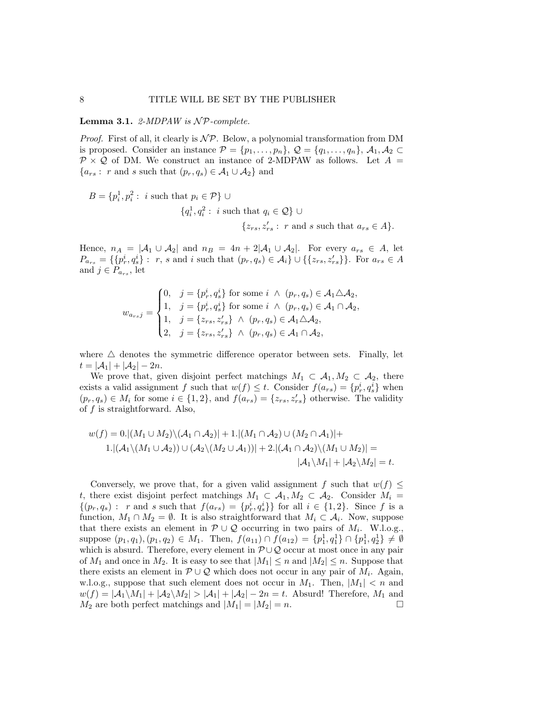Lemma 3.1. 2-MDPAW is  $\mathcal{NP}$ -complete.

*Proof.* First of all, it clearly is  $\mathcal{NP}$ . Below, a polynomial transformation from DM is proposed. Consider an instance  $\mathcal{P} = \{p_1, \ldots, p_n\}, \mathcal{Q} = \{q_1, \ldots, q_n\}, \mathcal{A}_1, \mathcal{A}_2 \subset$  $\mathcal{P} \times \mathcal{Q}$  of DM. We construct an instance of 2-MDPAW as follows. Let  $A =$  ${a_{rs} : r \text{ and } s \text{ such that } (p_r, q_s) \in \mathcal{A}_1 \cup \mathcal{A}_2}$  and

$$
B = \{p_i^1, p_i^2 : i \text{ such that } p_i \in \mathcal{P}\} \cup
$$
  

$$
\{q_i^1, q_i^2 : i \text{ such that } q_i \in \mathcal{Q}\} \cup
$$
  

$$
\{z_{rs}, z_{rs}': r \text{ and } s \text{ such that } a_{rs} \in A\}.
$$

Hence,  $n_A = |\mathcal{A}_1 \cup \mathcal{A}_2|$  and  $n_B = 4n + 2|\mathcal{A}_1 \cup \mathcal{A}_2|$ . For every  $a_{rs} \in \mathcal{A}$ , let  $P_{a_{rs}} = \{\{p_r^i, q_s^i\} : r, s \text{ and } i \text{ such that } (p_r, q_s) \in A_i\} \cup \{\{z_{rs}, z'_{rs}\}\}\.$  For  $a_{rs} \in A$ and  $j \in P_{a_{rs}}$ , let

$$
w_{a_{rs}j} = \begin{cases} 0, & j = \{p_r^i, q_s^i\} \text{ for some } i \wedge (p_r, q_s) \in A_1 \triangle A_2, \\ 1, & j = \{p_r^i, q_s^i\} \text{ for some } i \wedge (p_r, q_s) \in A_1 \cap A_2, \\ 1, & j = \{z_{rs}, z'_{rs}\} \wedge (p_r, q_s) \in A_1 \triangle A_2, \\ 2, & j = \{z_{rs}, z'_{rs}\} \wedge (p_r, q_s) \in A_1 \cap A_2, \end{cases}
$$

where  $\triangle$  denotes the symmetric difference operator between sets. Finally, let  $t = |\mathcal{A}_1| + |\mathcal{A}_2| - 2n.$ 

We prove that, given disjoint perfect matchings  $M_1 \subset A_1, M_2 \subset A_2$ , there exists a valid assignment f such that  $w(f) \leq t$ . Consider  $f(a_{rs}) = \{p_r^i, q_s^i\}$  when  $(p_r, q_s) \in M_i$  for some  $i \in \{1, 2\}$ , and  $f(a_{rs}) = \{z_{rs}, z'_{rs}\}$  otherwise. The validity of f is straightforward. Also,

$$
w(f) = 0. \left| (M_1 \cup M_2) \backslash (\mathcal{A}_1 \cap \mathcal{A}_2) \right| + 1. \left| (M_1 \cap \mathcal{A}_2) \cup (M_2 \cap \mathcal{A}_1) \right| +
$$
  

$$
1. \left| (\mathcal{A}_1 \backslash (M_1 \cup \mathcal{A}_2)) \cup (\mathcal{A}_2 \backslash (M_2 \cup \mathcal{A}_1)) \right| + 2. \left| (\mathcal{A}_1 \cap \mathcal{A}_2) \backslash (M_1 \cup M_2) \right| =
$$
  

$$
|\mathcal{A}_1 \backslash M_1| + |\mathcal{A}_2 \backslash M_2| = t.
$$

Conversely, we prove that, for a given valid assignment f such that  $w(f) \leq$ t, there exist disjoint perfect matchings  $M_1 \subset A_1, M_2 \subset A_2$ . Consider  $M_i =$  $\{(p_r, q_s) : r \text{ and } s \text{ such that } f(a_{rs}) = \{p_r^i, q_s^i\}\}\$ for all  $i \in \{1, 2\}$ . Since f is a function,  $M_1 \cap M_2 = \emptyset$ . It is also straightforward that  $M_i \subset \mathcal{A}_i$ . Now, suppose that there exists an element in  $\mathcal{P} \cup \mathcal{Q}$  occurring in two pairs of  $M_i$ . W.l.o.g., suppose  $(p_1, q_1), (p_1, q_2) \in M_1$ . Then,  $f(a_{11}) \cap f(a_{12}) = \{p_1^1, q_1^1\} \cap \{p_1^1, q_2^1\} \neq \emptyset$ which is absurd. Therefore, every element in  $P \cup Q$  occur at most once in any pair of  $M_1$  and once in  $M_2$ . It is easy to see that  $|M_1| \leq n$  and  $|M_2| \leq n$ . Suppose that there exists an element in  $\mathcal{P} \cup \mathcal{Q}$  which does not occur in any pair of  $M_i$ . Again, w.l.o.g., suppose that such element does not occur in  $M_1$ . Then,  $|M_1| < n$  and  $w(f) = |\mathcal{A}_1 \setminus M_1| + |\mathcal{A}_2 \setminus M_2| > |\mathcal{A}_1| + |\mathcal{A}_2| - 2n = t$ . Absurd! Therefore,  $M_1$  and  $M_2$  are both perfect matchings and  $|M_1| = |M_2| = n$ .  $M_2$  are both perfect matchings and  $|M_1| = |M_2| = n$ .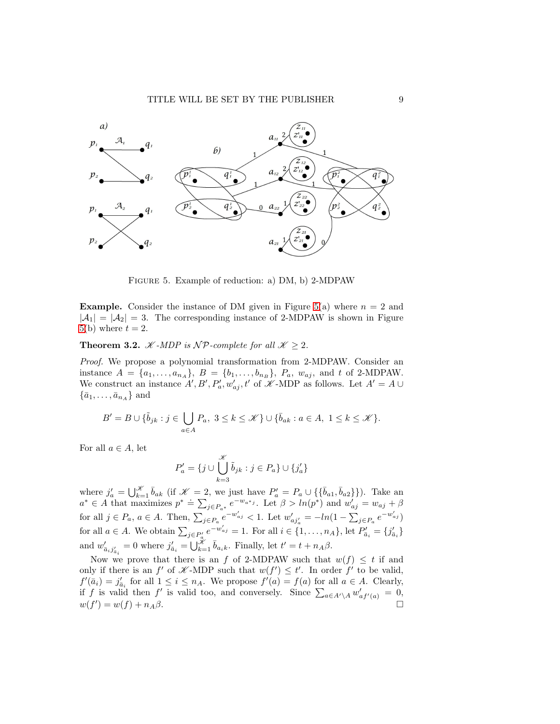

<span id="page-8-0"></span>Figure 5. Example of reduction: a) DM, b) 2-MDPAW

**Example.** Consider the instance of DM given in Figure [5\(](#page-8-0)a) where  $n = 2$  and  $|A_1| = |A_2| = 3$ . The corresponding instance of 2-MDPAW is shown in Figure [5\(](#page-8-0)b) where  $t = 2$ .

<span id="page-8-1"></span>**Theorem 3.2.** *K* -*MDP* is *NP*-complete for all  $K \geq 2$ .

Proof. We propose a polynomial transformation from 2-MDPAW. Consider an instance  $A = \{a_1, \ldots, a_{n_A}\}, B = \{b_1, \ldots, b_{n_B}\}, P_a, w_{aj}, \text{ and } t \text{ of } 2\text{-MDPAW}.$ We construct an instance  $A', B', P'_a, w'_{aj}, t'$  of  $K$ -MDP as follows. Let  $A' = A \cup$  $\{\bar{a}_1, \ldots, \bar{a}_{n_A}\}\$ and

$$
B'=B\cup \{\tilde{b}_{jk}:j\in\bigcup_{a\in A}P_a,\ 3\leq k\leq\mathscr{K}\}\cup\{\bar{b}_{ak}:a\in A,\ 1\leq k\leq\mathscr{K}\}.
$$

For all  $a \in A$ , let

$$
P'_a = \{ j \cup \bigcup_{k=3}^{\mathcal{K}} \tilde{b}_{jk} : j \in P_a \} \cup \{ j'_a \}
$$

where  $j'_a = \bigcup_{k=1}^{\mathcal{K}} \bar{b}_{ak}$  (if  $\mathcal{K} = 2$ , we just have  $P'_a = P_a \cup \{\{\bar{b}_{a1}, \bar{b}_{a2}\}\}\)$ . Take an where  $j_a$   $\bigcup_{k=1}^{\infty} o_{ak}$  (if  $j_b$ )  $\bigcup_{j \in P_{a^*}} e^{-w_{a^*j}}$ . Let  $\beta > ln(p^*)$  and  $w'_{aj} = w_{aj} + \beta$ for all  $j \in P_a$ ,  $a \in A$ . Then,  $\sum_{j \in P_a} e^{-w'_{aj}} < 1$ . Let  $w'_{aj'_a} = -ln(1 - \sum_{j \in P_a} e^{-w'_{aj}})$ for all  $a \in A$ . We obtain  $\sum_{j \in P_a} e^{-w'_{a_j}} = 1$ . For all  $i \in \{1, \ldots, n_A\}$ , let  $P'_{\bar{a}_i} = \{j'_{\bar{a}_i}\}$ and  $w'_{\bar{a}_i j'_{\bar{a}_i}} = 0$  where  $j'_{\bar{a}_i} = \bigcup_{k=1}^{\tilde{\mathcal{X}}} \bar{b}_{a_i k}$ . Finally, let  $t' = t + n_A \beta$ .

Now we prove that there is an f of 2-MDPAW such that  $w(f) \leq t$  if and only if there is an  $f'$  of  $\mathscr{K}\text{-MDP}$  such that  $w(f') \leq t'$ . In order  $f'$  to be valid,  $f'(\bar{a}_i) = j'_{\bar{a}_i}$  for all  $1 \leq i \leq n_A$ . We propose  $f'(a) = f(a)$  for all  $a \in A$ . Clearly, if f is valid then f' is valid too, and conversely. Since  $\sum_{a \in A' \setminus A} w'_{af'(a)} = 0$ ,  $w(f') = w(f) + n_A \beta.$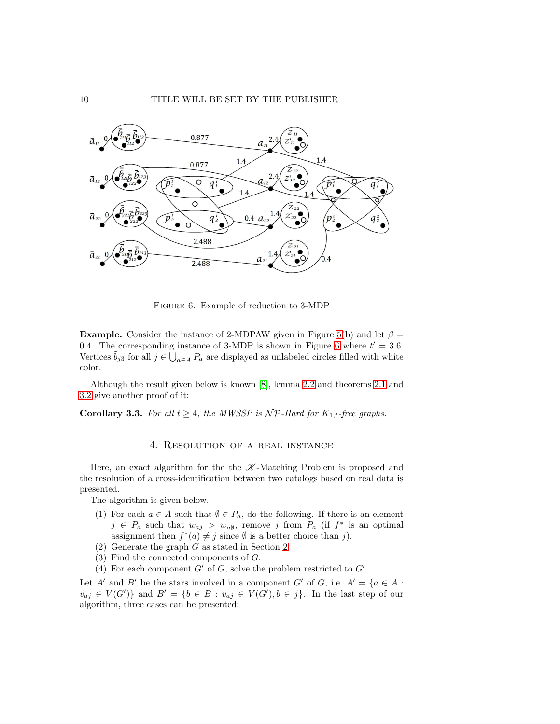

<span id="page-9-1"></span>Figure 6. Example of reduction to 3-MDP

**Example.** Consider the instance of 2-MDPAW given in Figure [5\(](#page-8-0)b) and let  $\beta$  = 0.4. The corresponding instance of 3-MDP is shown in Figure [6](#page-9-1) where  $t' = 3.6$ . Vertices  $\tilde{b}_{j3}$  for all  $j \in \bigcup_{a \in A} P_a$  are displayed as unlabeled circles filled with white color.

Although the result given below is known [\[8\]](#page-16-7), lemma [2.2](#page-5-2) and theorems [2.1](#page-4-1) and [3.2](#page-8-1) give another proof of it:

<span id="page-9-0"></span>**Corollary 3.3.** For all  $t \geq 4$ , the MWSSP is  $\mathcal{NP}$ -Hard for  $K_{1,t}$ -free graphs.

## 4. Resolution of a real instance

Here, an exact algorithm for the the  $K$ -Matching Problem is proposed and the resolution of a cross-identification between two catalogs based on real data is presented.

The algorithm is given below.

- (1) For each  $a \in A$  such that  $\emptyset \in P_a$ , do the following. If there is an element  $j \in P_a$  such that  $w_{aj} > w_{a\emptyset}$ , remove j from  $P_a$  (if  $f^*$  is an optimal assignment then  $f^*(a) \neq j$  since  $\emptyset$  is a better choice than j).
- (2) Generate the graph G as stated in Section [2.](#page-2-0)
- (3) Find the connected components of G.
- (4) For each component  $G'$  of  $G$ , solve the problem restricted to  $G'$ .

Let A' and B' be the stars involved in a component G' of G, i.e.  $A' = \{a \in A :$  $v_{aj} \in V(G')$ } and  $B' = \{b \in B : v_{aj} \in V(G'), b \in j\}$ . In the last step of our algorithm, three cases can be presented: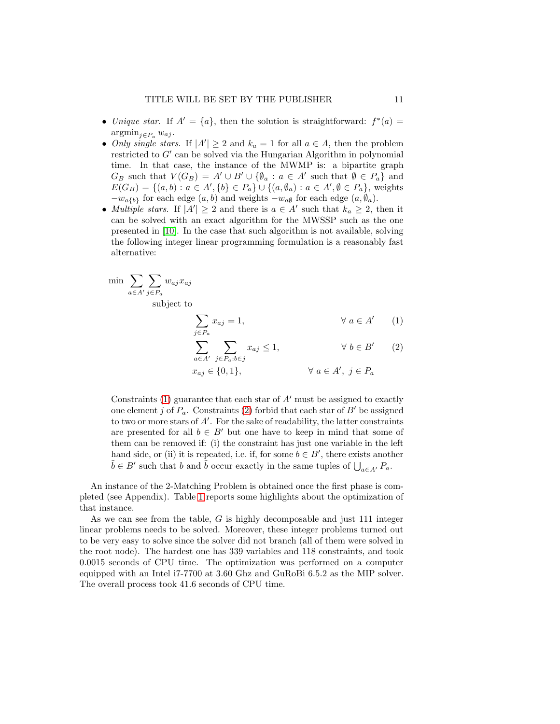- Unique star. If  $A' = \{a\}$ , then the solution is straightforward:  $f^*(a) =$  $argmin_{i \in P_a} w_{aj}$ .
- *Only single stars.* If  $|A'| \ge 2$  and  $k_a = 1$  for all  $a \in A$ , then the problem restricted to G′ can be solved via the Hungarian Algorithm in polynomial time. In that case, the instance of the MWMP is: a bipartite graph  $G_B$  such that  $V(G_B) = A' \cup B' \cup \{ \emptyset_a : a \in A' \text{ such that } \emptyset \in P_a \}$  and  $E(G_B) = \{(a, b) : a \in A', \{b\} \in P_a\} \cup \{(a, \emptyset_a) : a \in A', \emptyset \in P_a\}$ , weights  $-w_{a{b}}$  for each edge  $(a, b)$  and weights  $-w_{a\emptyset}$  for each edge  $(a, \emptyset_a)$ .
- *Multiple stars.* If  $|A'| \ge 2$  and there is  $a \in A'$  such that  $k_a \ge 2$ , then it can be solved with an exact algorithm for the MWSSP such as the one presented in [\[10\]](#page-16-9). In the case that such algorithm is not available, solving the following integer linear programming formulation is a reasonably fast alternative:

$$
\min \sum_{a \in A'} \sum_{j \in P_a} w_{aj} x_{aj}
$$

subject to

<span id="page-10-1"></span><span id="page-10-0"></span>
$$
\sum_{j \in P_a} x_{aj} = 1, \qquad \forall a \in A' \qquad (1)
$$

$$
\sum_{a \in A'} \sum_{j \in P_a : b \in j} x_{aj} \le 1, \qquad \forall b \in B' \qquad (2)
$$

$$
x_{aj} \in \{0, 1\}, \qquad \forall \ a \in A', \ j \in P_a
$$

Constraints  $(1)$  guarantee that each star of  $A'$  must be assigned to exactly one element j of  $P_a$ . Constraints [\(2\)](#page-10-1) forbid that each star of  $B'$  be assigned to two or more stars of A′ . For the sake of readability, the latter constraints are presented for all  $b \in B'$  but one have to keep in mind that some of them can be removed if: (i) the constraint has just one variable in the left hand side, or (ii) it is repeated, i.e. if, for some  $b \in B'$ , there exists another  $\tilde{b} \in B'$  such that b and  $\tilde{b}$  occur exactly in the same tuples of  $\bigcup_{a \in A'} P_a$ .

An instance of the 2-Matching Problem is obtained once the first phase is completed (see Appendix). Table [1](#page-11-0) reports some highlights about the optimization of that instance.

As we can see from the table,  $G$  is highly decomposable and just 111 integer linear problems needs to be solved. Moreover, these integer problems turned out to be very easy to solve since the solver did not branch (all of them were solved in the root node). The hardest one has 339 variables and 118 constraints, and took 0.0015 seconds of CPU time. The optimization was performed on a computer equipped with an Intel i7-7700 at 3.60 Ghz and GuRoBi 6.5.2 as the MIP solver. The overall process took 41.6 seconds of CPU time.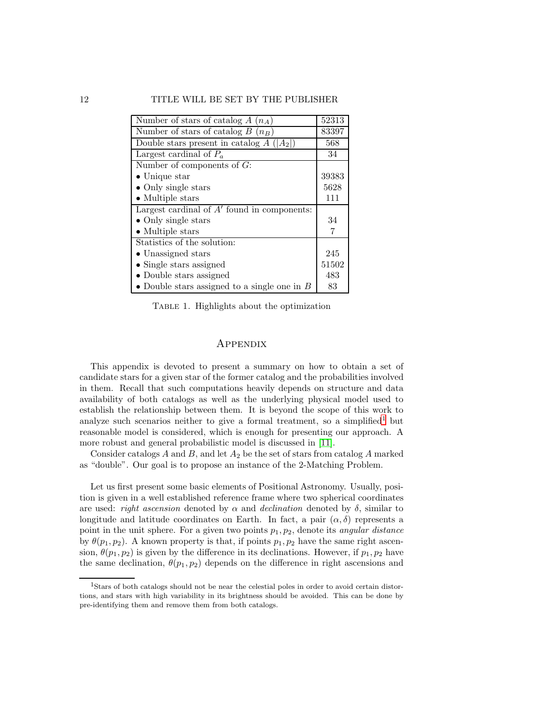| Number of stars of catalog $A(n_A)$            | 52313 |
|------------------------------------------------|-------|
| Number of stars of catalog $B(n_B)$            | 83397 |
| Double stars present in catalog $A( A_2 )$     | 568   |
| Largest cardinal of $P_a$                      | 34    |
| Number of components of $G$ :                  |       |
| $\bullet$ Unique star                          | 39383 |
| • Only single stars                            | 5628  |
| $\bullet$ Multiple stars                       | 111   |
| Largest cardinal of $A'$ found in components:  |       |
| • Only single stars                            | 34    |
| $\bullet$ Multiple stars                       | 7     |
| Statistics of the solution:                    |       |
| • Unassigned stars                             | 245   |
| $\bullet$ Single stars assigned                | 51502 |
| • Double stars assigned                        | 483   |
| • Double stars assigned to a single one in $B$ | 83    |

Table 1. Highlights about the optimization

#### <span id="page-11-0"></span>Appendix

This appendix is devoted to present a summary on how to obtain a set of candidate stars for a given star of the former catalog and the probabilities involved in them. Recall that such computations heavily depends on structure and data availability of both catalogs as well as the underlying physical model used to establish the relationship between them. It is beyond the scope of this work to analyze such scenarios neither to give a formal treatment, so a simplified<sup>[1](#page-11-1)</sup> but reasonable model is considered, which is enough for presenting our approach. A more robust and general probabilistic model is discussed in [\[11\]](#page-16-10).

Consider catalogs  $A$  and  $B$ , and let  $A_2$  be the set of stars from catalog  $A$  marked as "double". Our goal is to propose an instance of the 2-Matching Problem.

Let us first present some basic elements of Positional Astronomy. Usually, position is given in a well established reference frame where two spherical coordinates are used: right ascension denoted by  $\alpha$  and declination denoted by  $\delta$ , similar to longitude and latitude coordinates on Earth. In fact, a pair  $(\alpha, \delta)$  represents a point in the unit sphere. For a given two points  $p_1, p_2$ , denote its *angular distance* by  $\theta(p_1, p_2)$ . A known property is that, if points  $p_1, p_2$  have the same right ascension,  $\theta(p_1, p_2)$  is given by the difference in its declinations. However, if  $p_1, p_2$  have the same declination,  $\theta(p_1, p_2)$  depends on the difference in right ascensions and

<span id="page-11-1"></span><sup>1</sup>Stars of both catalogs should not be near the celestial poles in order to avoid certain distortions, and stars with high variability in its brightness should be avoided. This can be done by pre-identifying them and remove them from both catalogs.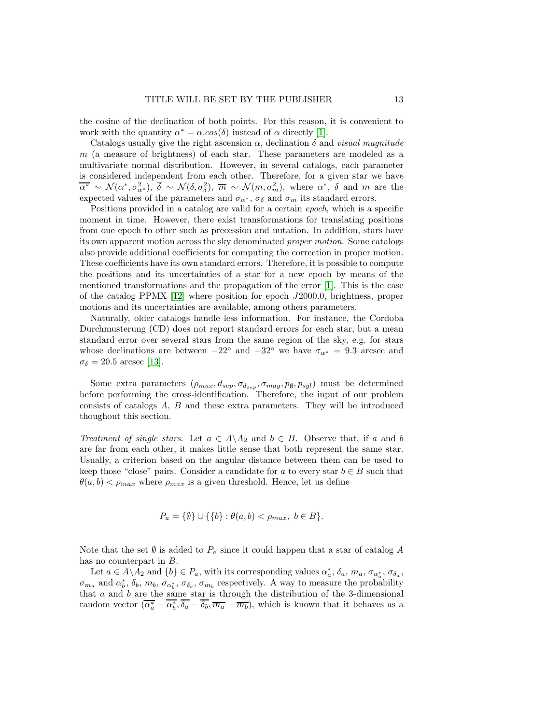the cosine of the declination of both points. For this reason, it is convenient to work with the quantity  $\alpha^* = \alpha \cdot \cos(\delta)$  instead of  $\alpha$  directly [\[1\]](#page-16-0).

Catalogs usually give the right ascension  $\alpha$ , declination  $\delta$  and *visual magnitude* m (a measure of brightness) of each star. These parameters are modeled as a multivariate normal distribution. However, in several catalogs, each parameter is considered independent from each other. Therefore, for a given star we have  $\overline{\alpha^*} \sim \mathcal{N}(\alpha^*, \sigma_{\alpha^*}^2), \overline{\delta} \sim \mathcal{N}(\delta, \sigma_{\delta}^2), \overline{m} \sim \mathcal{N}(m, \sigma_m^2)$ , where  $\alpha^*, \overline{\delta}$  and m are the expected values of the parameters and  $\sigma_{\alpha^*}$ ,  $\sigma_{\delta}$  and  $\sigma_m$  its standard errors.

Positions provided in a catalog are valid for a certain epoch, which is a specific moment in time. However, there exist transformations for translating positions from one epoch to other such as precession and nutation. In addition, stars have its own apparent motion across the sky denominated proper motion. Some catalogs also provide additional coefficients for computing the correction in proper motion. These coefficients have its own standard errors. Therefore, it is possible to compute the positions and its uncertainties of a star for a new epoch by means of the mentioned transformations and the propagation of the error [\[1\]](#page-16-0). This is the case of the catalog PPMX [\[12\]](#page-16-11) where position for epoch J2000.0, brightness, proper motions and its uncertainties are available, among others parameters.

Naturally, older catalogs handle less information. For instance, the Cordoba Durchmusterung (CD) does not report standard errors for each star, but a mean standard error over several stars from the same region of the sky, e.g. for stars whose declinations are between  $-22^{\circ}$  and  $-32^{\circ}$  we have  $\sigma_{\alpha^*} = 9.3$  arcsec and  $\sigma_{\delta} = 20.5$  arcsec [\[13\]](#page-16-12).

Some extra parameters  $(\rho_{max}, d_{sep}, \sigma_{d_{sep}}, \sigma_{mag}, p_{\emptyset}, p_{sgl})$  must be determined before performing the cross-identification. Therefore, the input of our problem consists of catalogs A, B and these extra parameters. They will be introduced thoughout this section.

Treatment of single stars. Let  $a \in A \backslash A_2$  and  $b \in B$ . Observe that, if a and b are far from each other, it makes little sense that both represent the same star. Usually, a criterion based on the angular distance between them can be used to keep those "close" pairs. Consider a candidate for a to every star  $b \in B$  such that  $\theta(a, b) < \rho_{max}$  where  $\rho_{max}$  is a given threshold. Hence, let us define

$$
P_a = \{ \emptyset \} \cup \{ \{ b \} : \theta(a, b) < \rho_{max}, \ b \in B \}.
$$

Note that the set  $\emptyset$  is added to  $P_a$  since it could happen that a star of catalog A has no counterpart in B.

Let  $a \in A \backslash A_2$  and  $\{b\} \in P_a$ , with its corresponding values  $\alpha_a^*, \delta_a, m_a, \sigma_{\alpha_a^*, \sigma_{\delta_a}}$ ,  $\sigma_{m_a}$  and  $\alpha_b^*, \delta_b, m_b, \sigma_{\alpha_b^*}, \sigma_{\delta_b}, \sigma_{m_b}$  respectively. A way to measure the probability that  $a$  and  $b$  are the same star is through the distribution of the 3-dimensional random vector  $(\overline{\alpha_a^*} - \alpha_b^*, \delta_a - \delta_b, \overline{m_a} - \overline{m_b})$ , which is known that it behaves as a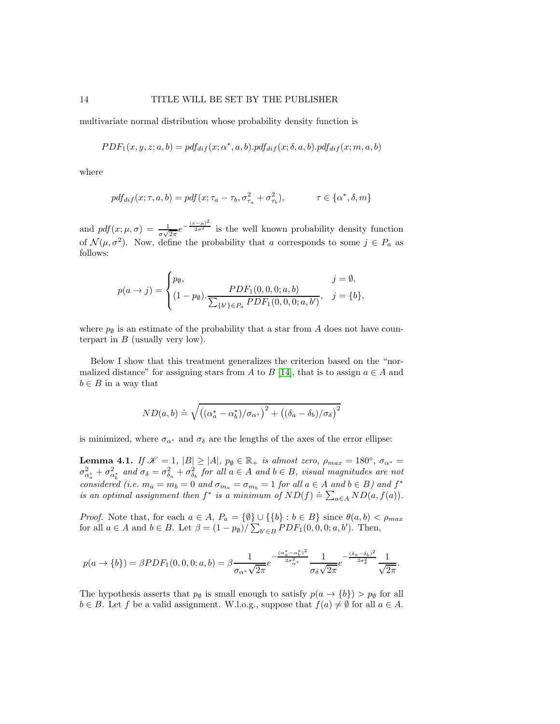multivariate normal distribution whose probability density function is

$$
PDF_1(x, y, z; a, b) = pdf_{diff}(x; \alpha^*, a, b).pdf_{diff}(x; \delta, a, b).pdf_{diff}(x; m, a, b)
$$

where

$$
pdf_{dif}(x; \tau, a, b) = pdf(x; \tau_a - \tau_b, \sigma_{\tau_a}^2 + \sigma_{\tau_b}^2), \qquad \tau \in \{\alpha^*, \delta, m\}
$$

and  $pdf(x; \mu, \sigma) = \frac{1}{\sigma\sqrt{2\pi}}e^{-\frac{(x-\mu)^2}{2\sigma^2}}$  is the well known probability density function of  $\mathcal{N}(\mu, \sigma^2)$ . Now, define the probability that a corresponds to some  $j \in P_a$  as follows:

$$
p(a \to j) = \begin{cases} p_{\emptyset}, & j = \emptyset, \\ (1 - p_{\emptyset}) \cdot \frac{PDF_1(0, 0, 0; a, b)}{\sum_{\{b'\} \in P_a} PDF_1(0, 0, 0; a, b')}, & j = \{b\}, \end{cases}
$$

where  $p_{\emptyset}$  is an estimate of the probability that a star from A does not have counterpart in  $B$  (usually very low).

Below I show that this treatment generalizes the criterion based on the "nor-malized distance" for assigning stars from A to B [\[14\]](#page-16-13), that is to assign  $a \in A$  and  $b \in B$  in a way that

$$
ND(a,b) \doteq \sqrt{\left((\alpha_a^* - \alpha_b^*)/\sigma_{\alpha^*}\right)^2 + \left((\delta_a - \delta_b)/\sigma_{\delta}\right)^2}
$$

is minimized, where  $\sigma_{\alpha^*}$  and  $\sigma_{\delta}$  are the lengths of the axes of the error ellipse:

<span id="page-13-0"></span>**Lemma 4.1.** If  $\mathcal{K} = 1$ ,  $|B| \ge |A|$ ,  $p_{\emptyset} \in \mathbb{R}_+$  is almost zero,  $\rho_{max} = 180^{\circ}$ ,  $\sigma_{\alpha^*} =$  $\sigma_{\alpha_a^*}^2+\sigma_{\alpha_b^*}^2$  and  $\sigma_{\delta}=\sigma_{\delta_a}^2+\sigma_{\delta_b}^2$  for all  $a\in A$  and  $b\in B,$  visual magnitudes are not considered (i.e.  $m_a = m_b = 0$  and  $\sigma_{m_a} = \sigma_{m_b} = 1$  for all  $a \in A$  and  $b \in B$ ) and  $f^*$ is an optimal assignment then  $f^*$  is a minimum of  $ND(f) \doteq \sum_{a \in A} ND(a, f(a))$ .

*Proof.* Note that, for each  $a \in A$ ,  $P_a = {\emptyset} \cup {\{b\} : b \in B}$  since  $\theta(a, b) < \rho_{max}$ for all  $a \in A$  and  $b \in B$ . Let  $\beta = (1 - p_{\emptyset}) / \sum_{b' \in B} PDF_1(0, 0, 0; a, b')$ . Then,

$$
p(a \to \{b\}) = \beta PDF_1(0, 0, 0; a, b) = \beta \frac{1}{\sigma_{\alpha^*} \sqrt{2\pi}} e^{-\frac{(\alpha_a^* - \alpha_b^*)^2}{2\sigma_{\alpha^*}^2}} \frac{1}{\sigma_{\delta} \sqrt{2\pi}} e^{-\frac{(\delta_a - \delta_b)^2}{2\sigma_{\delta}^2}} \frac{1}{\sqrt{2\pi}}.
$$

The hypothesis asserts that  $p_{\emptyset}$  is small enough to satisfy  $p(a \rightarrow \{b\}) > p_{\emptyset}$  for all  $b \in B$ . Let f be a valid assignment. W.l.o.g., suppose that  $f(a) \neq \emptyset$  for all  $a \in A$ .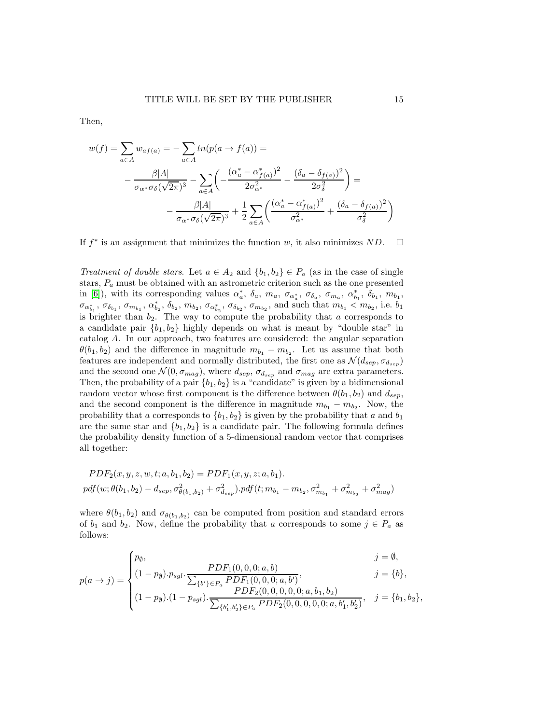Then,

$$
w(f) = \sum_{a \in A} w_{af(a)} = -\sum_{a \in A} ln(p(a \to f(a))) =
$$
  

$$
-\frac{\beta |A|}{\sigma_{\alpha^*} \sigma_{\delta}(\sqrt{2\pi})^3} - \sum_{a \in A} \left( -\frac{(\alpha_a^* - \alpha_{f(a)}^*)^2}{2\sigma_{\alpha^*}^2} - \frac{(\delta_a - \delta_{f(a)})^2}{2\sigma_{\delta}^2} \right) =
$$
  

$$
-\frac{\beta |A|}{\sigma_{\alpha^*} \sigma_{\delta}(\sqrt{2\pi})^3} + \frac{1}{2} \sum_{a \in A} \left( \frac{(\alpha_a^* - \alpha_{f(a)}^*)^2}{\sigma_{\alpha^*}^2} + \frac{(\delta_a - \delta_{f(a)})^2}{\sigma_{\delta}^2} \right)
$$

If  $f^*$  is an assignment that minimizes the function w, it also minimizes  $ND$ .  $\Box$ 

Treatment of double stars. Let  $a \in A_2$  and  $\{b_1, b_2\} \in P_a$  (as in the case of single stars,  $P_a$  must be obtained with an astrometric criterion such as the one presented in [\[6\]](#page-16-5)), with its corresponding values  $\alpha_a^*$ ,  $\delta_a$ ,  $m_a$ ,  $\sigma_{\alpha_a^*}$ ,  $\sigma_{\delta_a}$ ,  $\sigma_{m_a}$ ,  $\alpha_{b_1}^*$ ,  $\delta_{b_1}$ ,  $m_{b_1}$ ,  $\sigma_{\alpha_{b_1}^*}, \sigma_{\delta_{b_1}}, \sigma_{m_{b_1}}, \alpha_{b_2}^*, \delta_{b_2}, m_{b_2}, \sigma_{\alpha_{b_2}^*}, \sigma_{\delta_{b_2}}, \sigma_{m_{b_2}}, \text{ and such that } m_{b_1} < m_{b_2}, \text{ i.e. } b_1$ is brighter than  $b_2$ . The way to compute the probability that a corresponds to a candidate pair  $\{b_1, b_2\}$  highly depends on what is meant by "double star" in catalog A. In our approach, two features are considered: the angular separation  $\theta(b_1, b_2)$  and the difference in magnitude  $m_{b_1} - m_{b_2}$ . Let us assume that both features are independent and normally distributed, the first one as  $\mathcal{N}(d_{sep}, \sigma_{d_{sep}})$ and the second one  $\mathcal{N}(0, \sigma_{mag})$ , where  $d_{sep}$ ,  $\sigma_{d_{sep}}$  and  $\sigma_{mag}$  are extra parameters. Then, the probability of a pair  ${b_1, b_2}$  is a "candidate" is given by a bidimensional random vector whose first component is the difference between  $\theta(b_1, b_2)$  and  $d_{sep}$ , and the second component is the difference in magnitude  $m_{b_1} - m_{b_2}$ . Now, the probability that a corresponds to  ${b_1, b_2}$  is given by the probability that a and  $b_1$ are the same star and  $\{b_1, b_2\}$  is a candidate pair. The following formula defines the probability density function of a 5-dimensional random vector that comprises all together:

$$
PDF_{2}(x, y, z, w, t; a, b_{1}, b_{2}) = PDF_{1}(x, y, z; a, b_{1}).
$$
  
pdf(w;  $\theta(b_{1}, b_{2}) - d_{sep}, \sigma_{\theta(b_{1}, b_{2})}^{2} + \sigma_{d_{sep}}^{2})$ .pdf(t; m<sub>b\_{1</sub> - m<sub>b\_{2</sub>, \sigma\_{m\_{b\_{1}}}^{2} + \sigma\_{m\_{b\_{2}}}^{2} + \sigma\_{mag}^{2})

where  $\theta(b_1, b_2)$  and  $\sigma_{\theta(b_1, b_2)}$  can be computed from position and standard errors of  $b_1$  and  $b_2$ . Now, define the probability that a corresponds to some  $j \in P_a$  as follows:

$$
p(a \to j) = \begin{cases} p_{\emptyset}, & j = \emptyset, \\ (1 - p_{\emptyset}) \cdot p_{sgl} \cdot \frac{PDF_1(0, 0, 0; a, b)}{\sum_{\{b'\} \in P_a} PDF_1(0, 0, 0; a, b')}, & j = \{b\}, \\ (1 - p_{\emptyset}) \cdot (1 - p_{sgl}) \cdot \frac{PDF_2(0, 0, 0, 0; a, b_1, b_2)}{\sum_{\{b'_1, b'_2\} \in P_a} PDF_2(0, 0, 0, 0, 0; a, b'_1, b'_2)}, & j = \{b_1, b_2\}, \end{cases}
$$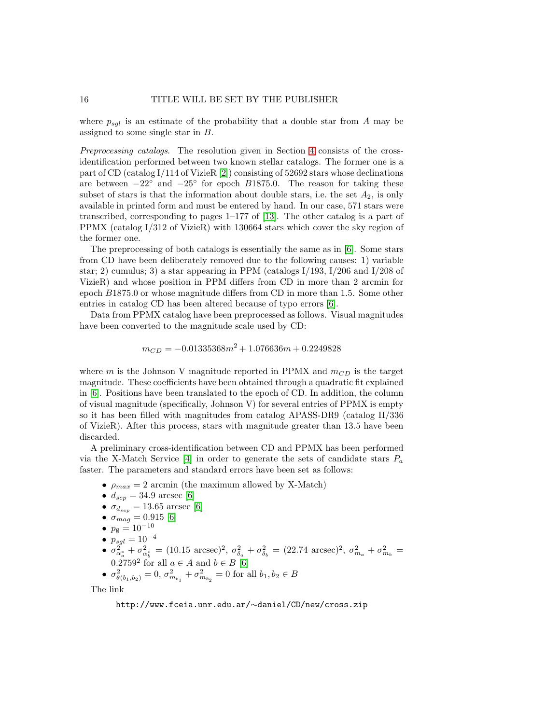where  $p_{sgl}$  is an estimate of the probability that a double star from A may be assigned to some single star in B.

Preprocessing catalogs. The resolution given in Section [4](#page-9-0) consists of the crossidentification performed between two known stellar catalogs. The former one is a part of CD (catalog I/114 of VizieR [\[2\]](#page-16-1)) consisting of 52692 stars whose declinations are between  $-22^\circ$  and  $-25^\circ$  for epoch B1875.0. The reason for taking these subset of stars is that the information about double stars, i.e. the set  $A_2$ , is only available in printed form and must be entered by hand. In our case, 571 stars were transcribed, corresponding to pages 1–177 of [\[13\]](#page-16-12). The other catalog is a part of PPMX (catalog I/312 of VizieR) with 130664 stars which cover the sky region of the former one.

The preprocessing of both catalogs is essentially the same as in [\[6\]](#page-16-5). Some stars from CD have been deliberately removed due to the following causes: 1) variable star; 2) cumulus; 3) a star appearing in PPM (catalogs  $I/193$ ,  $I/206$  and  $I/208$  of VizieR) and whose position in PPM differs from CD in more than 2 arcmin for epoch B1875.0 or whose magnitude differs from CD in more than 1.5. Some other entries in catalog CD has been altered because of typo errors [\[6\]](#page-16-5).

Data from PPMX catalog have been preprocessed as follows. Visual magnitudes have been converted to the magnitude scale used by CD:

$$
m_{CD} = -0.01335368m^2 + 1.076636m + 0.2249828
$$

where m is the Johnson V magnitude reported in PPMX and  $m_{CD}$  is the target magnitude. These coefficients have been obtained through a quadratic fit explained in [\[6\]](#page-16-5). Positions have been translated to the epoch of CD. In addition, the column of visual magnitude (specifically, Johnson V) for several entries of PPMX is empty so it has been filled with magnitudes from catalog APASS-DR9 (catalog II/336 of VizieR). After this process, stars with magnitude greater than 13.5 have been discarded.

A preliminary cross-identification between CD and PPMX has been performed via the X-Match Service  $[4]$  in order to generate the sets of candidate stars  $P_a$ faster. The parameters and standard errors have been set as follows:

- $\rho_{max} = 2$  arcmin (the maximum allowed by X-Match)
- $d_{sep} = 34.9$  arcsec [\[6\]](#page-16-5)
- $\sigma_{d_{sep}} = 13.65$  arcsec [\[6\]](#page-16-5)
- $\sigma_{mag} = 0.915$  [\[6\]](#page-16-5)
- $p_{\emptyset} = 10^{-10}$
- $p_{sgl} = 10^{-4}$
- $\sigma_{\alpha_a^*}^2 + \sigma_{\alpha_b^*}^2 = (10.15 \text{ arcsec})^2$ ,  $\sigma_{\delta_a}^2 + \sigma_{\delta_b}^2 = (22.74 \text{ arcsec})^2$ ,  $\sigma_{m_a}^2 + \sigma_{m_b}^2 =$ 0.2759<sup>2</sup> for all  $a \in A$  and  $b \in B$  [\[6\]](#page-16-5)

• 
$$
\sigma_{\theta(b_1,b_2)}^2 = 0
$$
,  $\sigma_{m_{b_1}}^2 + \sigma_{m_{b_2}}^2 = 0$  for all  $b_1, b_2 \in B$ 

The link

http://www.fceia.unr.edu.ar/∼daniel/CD/new/cross.zip